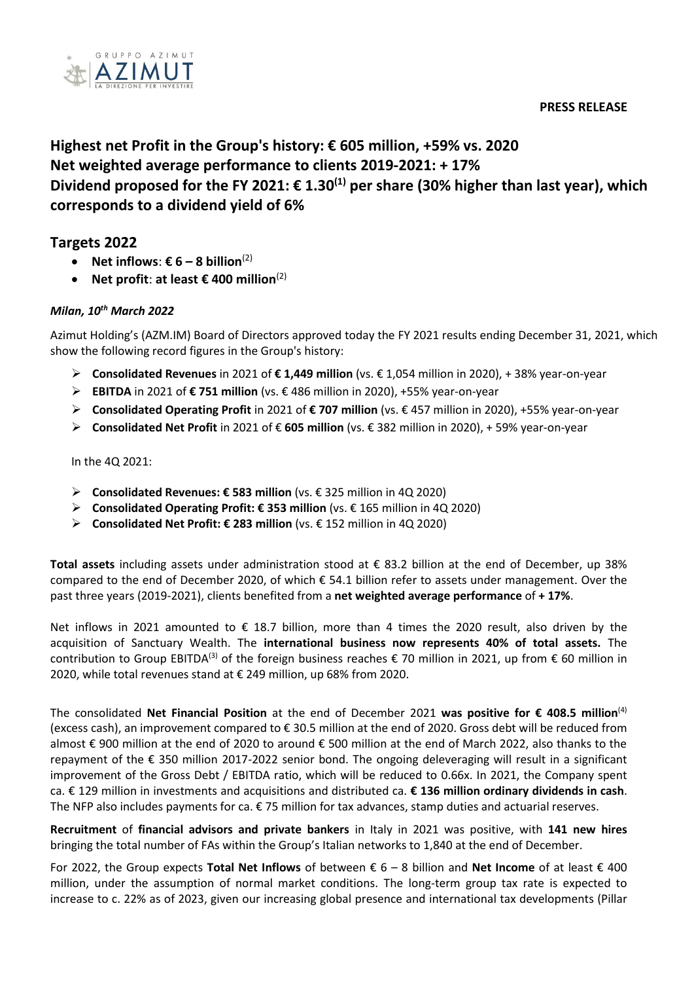#### **PRESS RELEASE**



# **Highest net Profit in the Group's history: € 605 million, +59% vs. 2020 Net weighted average performance to clients 2019-2021: + 17%** Dividend proposed for the FY 2021: € 1.30<sup>(1)</sup> per share (30% higher than last year), which **corresponds to a dividend yield of 6%**

# **Targets 2022**

- **Net inflows: € 6 8 billion**<sup>(2)</sup>
- **Net profit**: **at least € 400 million**(2)

#### *Milan, 10 th March 2022*

Azimut Holding's (AZM.IM) Board of Directors approved today the FY 2021 results ending December 31, 2021, which show the following record figures in the Group's history:

- ➢ **Consolidated Revenues** in 2021 of **€ 1,449 million** (vs. € 1,054 million in 2020), + 38% year-on-year
- ➢ **EBITDA** in 2021 of **€ 751 million** (vs. € 486 million in 2020), +55% year-on-year
- ➢ **Consolidated Operating Profit** in 2021 of **€ 707 million** (vs. € 457 million in 2020), +55% year-on-year
- ➢ **Consolidated Net Profit** in 2021 of € **605 million** (vs. € 382 million in 2020), + 59% year-on-year

In the 4Q 2021:

- ➢ **Consolidated Revenues: € 583 million** (vs. € 325 million in 4Q 2020)
- ➢ **Consolidated Operating Profit: € 353 million** (vs. € 165 million in 4Q 2020)
- ➢ **Consolidated Net Profit: € 283 million** (vs. € 152 million in 4Q 2020)

**Total assets** including assets under administration stood at € 83.2 billion at the end of December, up 38% compared to the end of December 2020, of which € 54.1 billion refer to assets under management. Over the past three years (2019-2021), clients benefited from a **net weighted average performance** of **+ 17%**.

Net inflows in 2021 amounted to € 18.7 billion, more than 4 times the 2020 result, also driven by the acquisition of Sanctuary Wealth. The **international business now represents 40% of total assets.** The contribution to Group EBITDA<sup>(3)</sup> of the foreign business reaches  $\epsilon$  70 million in 2021, up from  $\epsilon$  60 million in 2020, while total revenues stand at € 249 million, up 68% from 2020.

The consolidated **Net Financial Position** at the end of December 2021 **was positive for € 408.5 million**(4) (excess cash), an improvement compared to € 30.5 million at the end of 2020. Gross debt will be reduced from almost € 900 million at the end of 2020 to around € 500 million at the end of March 2022, also thanks to the repayment of the € 350 million 2017-2022 senior bond. The ongoing deleveraging will result in a significant improvement of the Gross Debt / EBITDA ratio, which will be reduced to 0.66x. In 2021, the Company spent ca. € 129 million in investments and acquisitions and distributed ca. **€ 136 million ordinary dividends in cash**. The NFP also includes payments for ca. € 75 million for tax advances, stamp duties and actuarial reserves.

**Recruitment** of **financial advisors and private bankers** in Italy in 2021 was positive, with **141 new hires** bringing the total number of FAs within the Group's Italian networks to 1,840 at the end of December.

For 2022, the Group expects **Total Net Inflows** of between € 6 – 8 billion and **Net Income** of at least € 400 million, under the assumption of normal market conditions. The long-term group tax rate is expected to increase to c. 22% as of 2023, given our increasing global presence and international tax developments (Pillar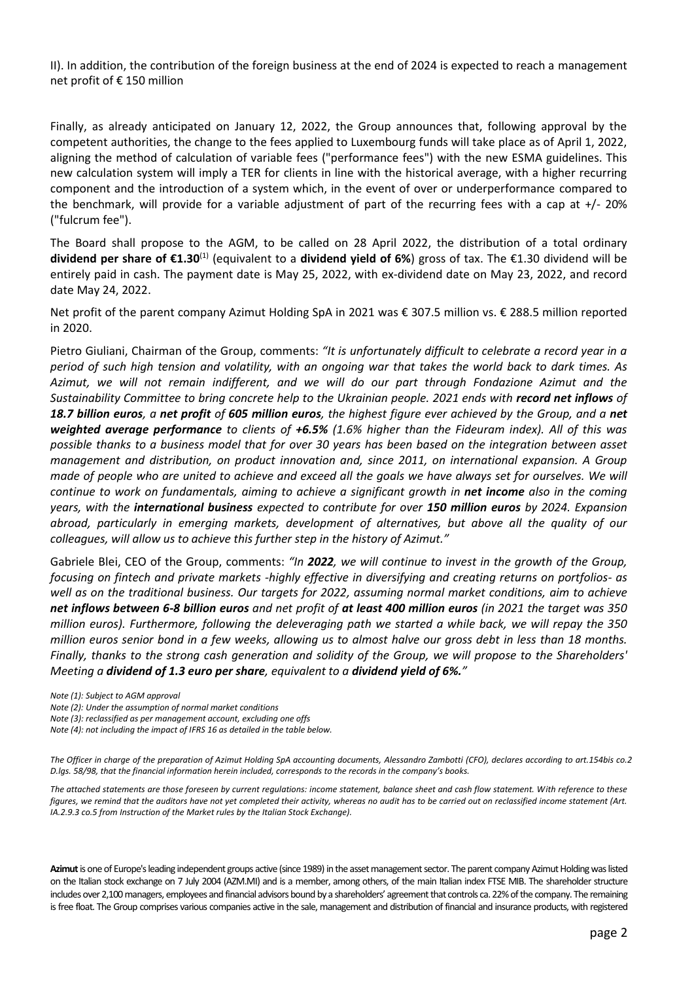II). In addition, the contribution of the foreign business at the end of 2024 is expected to reach a management net profit of € 150 million

Finally, as already anticipated on January 12, 2022, the Group announces that, following approval by the competent authorities, the change to the fees applied to Luxembourg funds will take place as of April 1, 2022, aligning the method of calculation of variable fees ("performance fees") with the new ESMA guidelines. This new calculation system will imply a TER for clients in line with the historical average, with a higher recurring component and the introduction of a system which, in the event of over or underperformance compared to the benchmark, will provide for a variable adjustment of part of the recurring fees with a cap at +/- 20% ("fulcrum fee").

The Board shall propose to the AGM, to be called on 28 April 2022, the distribution of a total ordinary **dividend per share of €1.30<sup>(1)</sup> (equivalent to a <b>dividend yield of 6%**) gross of tax. The €1.30 dividend will be entirely paid in cash. The payment date is May 25, 2022, with ex-dividend date on May 23, 2022, and record date May 24, 2022.

Net profit of the parent company Azimut Holding SpA in 2021 was € 307.5 million vs. € 288.5 million reported in 2020.

Pietro Giuliani, Chairman of the Group, comments: *"It is unfortunately difficult to celebrate a record year in a period of such high tension and volatility, with an ongoing war that takes the world back to dark times. As Azimut, we will not remain indifferent, and we will do our part through Fondazione Azimut and the Sustainability Committee to bring concrete help to the Ukrainian people. 2021 ends with record net inflows of 18.7 billion euros, a net profit of 605 million euros, the highest figure ever achieved by the Group, and a net weighted average performance to clients of +6.5% (1.6% higher than the Fideuram index). All of this was possible thanks to a business model that for over 30 years has been based on the integration between asset management and distribution, on product innovation and, since 2011, on international expansion. A Group made of people who are united to achieve and exceed all the goals we have always set for ourselves. We will continue to work on fundamentals, aiming to achieve a significant growth in net income also in the coming years, with the international business expected to contribute for over 150 million euros by 2024. Expansion abroad, particularly in emerging markets, development of alternatives, but above all the quality of our colleagues, will allow us to achieve this further step in the history of Azimut."*

Gabriele Blei, CEO of the Group, comments: *"In 2022, we will continue to invest in the growth of the Group, focusing on fintech and private markets -highly effective in diversifying and creating returns on portfolios- as well as on the traditional business. Our targets for 2022, assuming normal market conditions, aim to achieve net inflows between 6-8 billion euros and net profit of at least 400 million euros (in 2021 the target was 350 million euros). Furthermore, following the deleveraging path we started a while back, we will repay the 350 million euros senior bond in a few weeks, allowing us to almost halve our gross debt in less than 18 months. Finally, thanks to the strong cash generation and solidity of the Group, we will propose to the Shareholders' Meeting a dividend of 1.3 euro per share, equivalent to a dividend yield of 6%."*

*Note (1): Subject to AGM approval*

*The attached statements are those foreseen by current regulations: income statement, balance sheet and cash flow statement. With reference to these figures, we remind that the auditors have not yet completed their activity, whereas no audit has to be carried out on reclassified income statement (Art. IA.2.9.3 co.5 from Instruction of the Market rules by the Italian Stock Exchange).*

**Azimut** is one of Europe's leading independent groups active (since 1989) in the asset management sector. The parent company Azimut Holding was listed on the Italian stock exchange on 7 July 2004 (AZM.MI) and is a member, among others, of the main Italian index FTSE MIB. The shareholder structure includes over 2,100 managers, employees and financial advisors bound by a shareholders' agreement that controls ca. 22% of the company. The remaining is free float. The Group comprises various companies active in the sale, management and distribution of financial and insurance products, with registered

*Note (2): Under the assumption of normal market conditions* 

*Note (3): reclassified as per management account, excluding one offs*

*Note (4): not including the impact of IFRS 16 as detailed in the table below.*

*The Officer in charge of the preparation of Azimut Holding SpA accounting documents, Alessandro Zambotti (CFO), declares according to art.154bis co.2 D.lgs. 58/98, that the financial information herein included, corresponds to the records in the company's books.*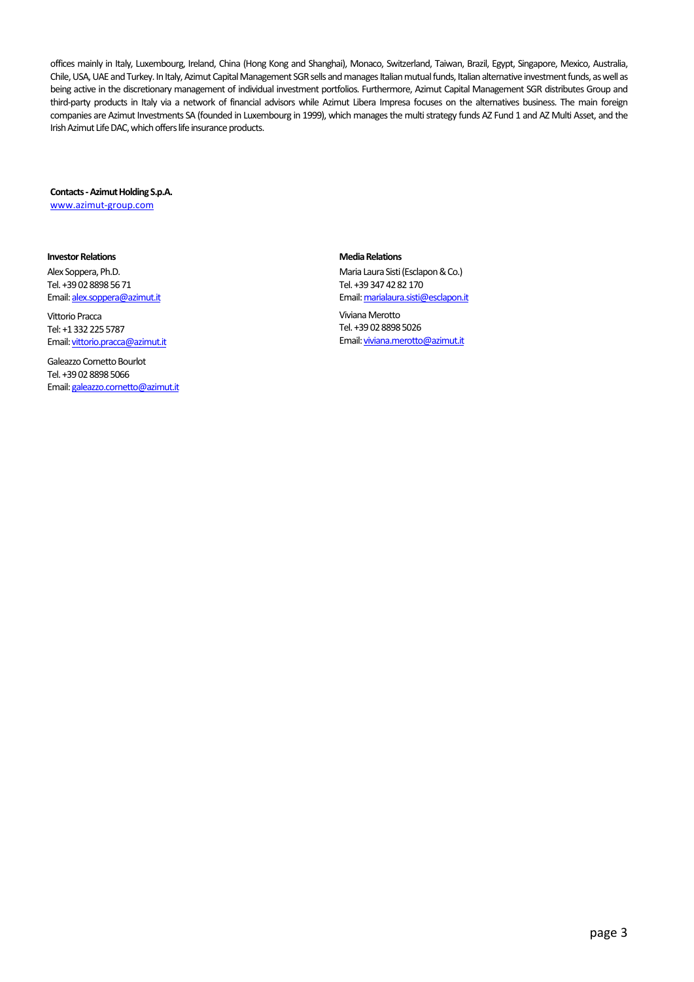offices mainly in Italy, Luxembourg, Ireland, China (Hong Kong and Shanghai), Monaco, Switzerland, Taiwan, Brazil, Egypt, Singapore, Mexico, Australia, Chile, USA, UAE and Turkey. In Italy, Azimut Capital Management SGR sells and manages Italian mutual funds, Italian alternative investment funds, as well as being active in the discretionary management of individual investment portfolios. Furthermore, Azimut Capital Management SGR distributes Group and third-party products in Italy via a network of financial advisors while Azimut Libera Impresa focuses on the alternatives business. The main foreign companies are Azimut Investments SA (founded in Luxembourg in 1999), which manages the multi strategy funds AZ Fund 1 and AZ Multi Asset, and the Irish Azimut Life DAC, which offers life insurance products.

#### **Contacts -Azimut Holding S.p.A.**

[www.azimut-group.com](http://www.azimut-group.com/)

#### **Investor Relations**

Alex Soppera, Ph.D. Tel. +39 02 8898 56 71 Email[: alex.soppera@azimut.it](mailto:alex.soppera@azimut.it)

Vittorio Pracca Tel: +1 332 225 5787 Email[: vittorio.pracca@azimut.it](mailto:vittorio.pracca@azimut.it)

Galeazzo Cornetto Bourlot Tel. +39 02 8898 5066 Email[: galeazzo.cornetto@azimut.it](mailto:galeazzo.cornetto@azimut.it)

#### **Media Relations**

Maria Laura Sisti (Esclapon & Co.) Tel. +39 347 42 82 170 Email[: marialaura.sisti@esclapon.it](mailto:marialaura.sisti@esclapon.it)

Viviana Merotto Tel. +39 02 8898 5026 Email[: viviana.merotto@azimut.it](mailto:viviana.merotto@azimut.it)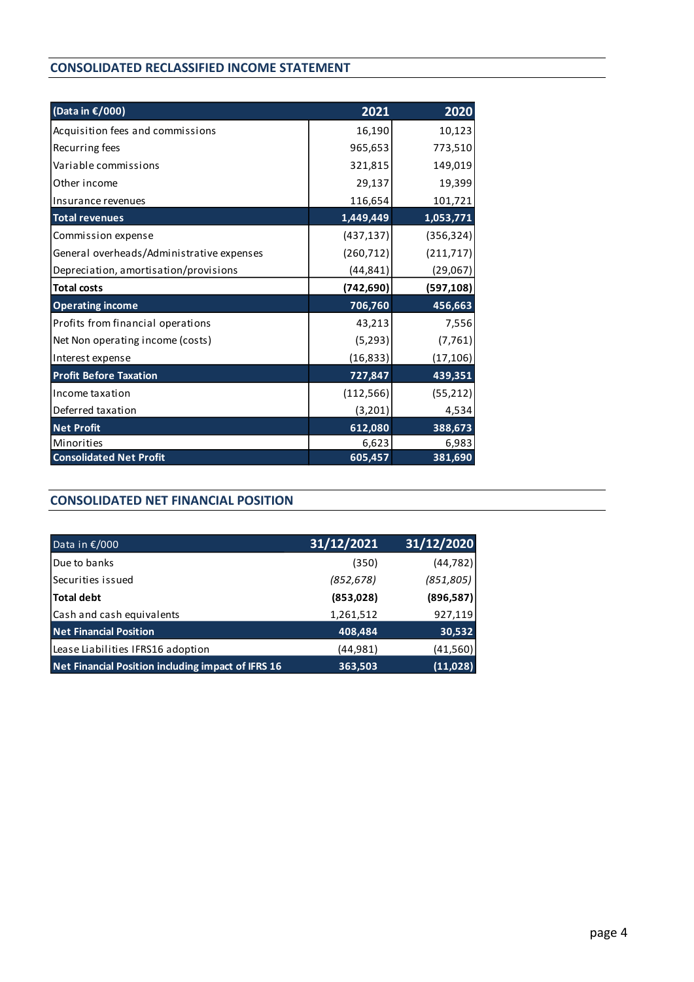#### **CONSOLIDATED RECLASSIFIED INCOME STATEMENT**

| (Data in €/000)                           | 2021       | 2020       |
|-------------------------------------------|------------|------------|
| Acquisition fees and commissions          | 16,190     | 10,123     |
| Recurring fees                            | 965,653    | 773,510    |
| Variable commissions                      | 321,815    | 149,019    |
| Other income                              | 29,137     | 19,399     |
| Insurance revenues                        | 116,654    | 101,721    |
| <b>Total revenues</b>                     | 1,449,449  | 1,053,771  |
| Commission expense                        | (437, 137) | (356, 324) |
| General overheads/Administrative expenses | (260, 712) | (211, 717) |
| Depreciation, amortisation/provisions     | (44, 841)  | (29,067)   |
| <b>Total costs</b>                        | (742, 690) | (597, 108) |
| <b>Operating income</b>                   | 706,760    | 456,663    |
| Profits from financial operations         | 43,213     | 7,556      |
| Net Non operating income (costs)          | (5, 293)   | (7, 761)   |
| Interest expense                          | (16, 833)  | (17, 106)  |
| <b>Profit Before Taxation</b>             | 727,847    | 439,351    |
| Income taxation                           | (112, 566) | (55, 212)  |
| Deferred taxation                         | (3, 201)   | 4,534      |
| <b>Net Profit</b>                         | 612,080    | 388,673    |
| Minorities                                | 6,623      | 6,983      |
| <b>Consolidated Net Profit</b>            | 605,457    | 381,690    |

### **CONSOLIDATED NET FINANCIAL POSITION**

| Data in €/000                                      | 31/12/2021 | 31/12/2020 |
|----------------------------------------------------|------------|------------|
| Due to banks                                       | (350)      | (44, 782)  |
| Securities issued                                  | (852, 678) | (851, 805) |
| <b>Total debt</b>                                  | (853, 028) | (896, 587) |
| Cash and cash equivalents                          | 1,261,512  | 927,119    |
| <b>Net Financial Position</b>                      | 408,484    | 30,532     |
| Lease Liabilities IFRS16 adoption                  | (44, 981)  | (41, 560)  |
| Net Financial Position including impact of IFRS 16 | 363,503    | (11, 028)  |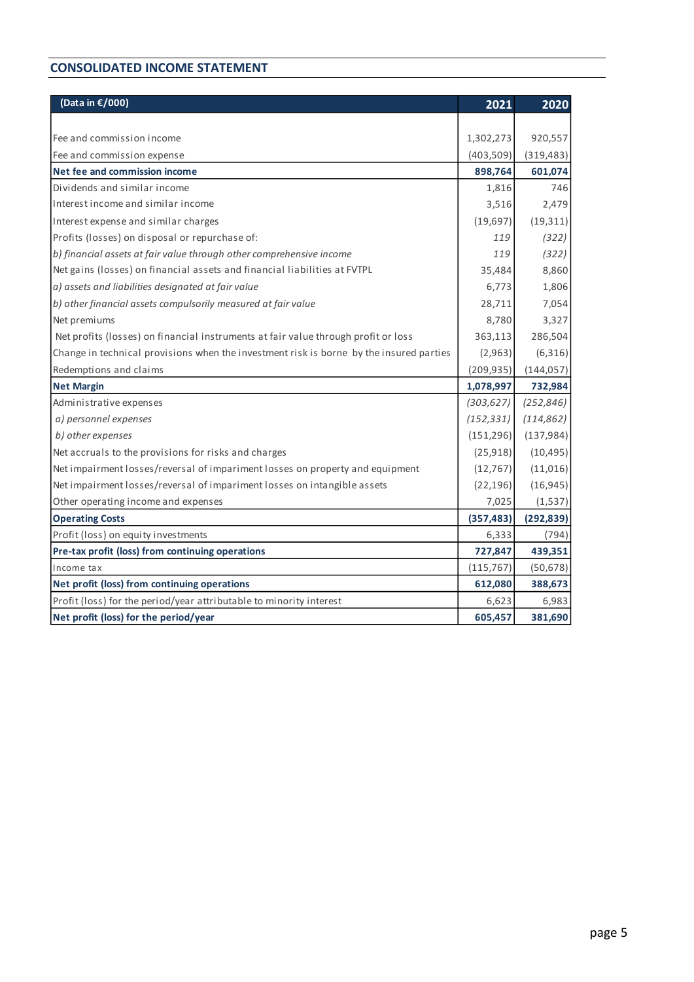#### **CONSOLIDATED INCOME STATEMENT**

| (Data in €/000)                                                                         | 2021       | 2020       |
|-----------------------------------------------------------------------------------------|------------|------------|
|                                                                                         |            |            |
| Fee and commission income                                                               | 1,302,273  | 920,557    |
| Fee and commission expense                                                              | (403, 509) | (319, 483) |
| Net fee and commission income                                                           | 898,764    | 601,074    |
| Dividends and similar income                                                            | 1,816      | 746        |
| Interest income and similar income                                                      | 3,516      | 2,479      |
| Interest expense and similar charges                                                    | (19, 697)  | (19, 311)  |
| Profits (losses) on disposal or repurchase of:                                          | 119        | (322)      |
| b) financial assets at fair value through other comprehensive income                    | 119        | (322)      |
| Net gains (losses) on financial assets and financial liabilities at FVTPL               | 35,484     | 8,860      |
| a) assets and liabilities designated at fair value                                      | 6,773      | 1,806      |
| b) other financial assets compulsorily measured at fair value                           | 28,711     | 7,054      |
| Net premiums                                                                            | 8,780      | 3,327      |
| Net profits (losses) on financial instruments at fair value through profit or loss      | 363,113    | 286,504    |
| Change in technical provisions when the investment risk is borne by the insured parties | (2,963)    | (6,316)    |
| Redemptions and claims                                                                  | (209, 935) | (144, 057) |
| <b>Net Margin</b>                                                                       | 1,078,997  | 732,984    |
| Administrative expenses                                                                 | (303, 627) | (252, 846) |
| a) personnel expenses                                                                   | (152, 331) | (114, 862) |
| b) other expenses                                                                       | (151, 296) | (137, 984) |
| Net accruals to the provisions for risks and charges                                    | (25, 918)  | (10, 495)  |
| Net impairment losses/reversal of impariment losses on property and equipment           | (12, 767)  | (11,016)   |
| Net impairment losses/reversal of impariment losses on intangible assets                | (22, 196)  | (16, 945)  |
| Other operating income and expenses                                                     | 7,025      | (1,537)    |
| <b>Operating Costs</b>                                                                  | (357, 483) | (292, 839) |
| Profit (loss) on equity investments                                                     | 6,333      | (794)      |
| Pre-tax profit (loss) from continuing operations                                        | 727,847    | 439,351    |
| Income tax                                                                              | (115, 767) | (50, 678)  |
| Net profit (loss) from continuing operations                                            | 612,080    | 388,673    |
| Profit (loss) for the period/year attributable to minority interest                     | 6,623      | 6,983      |
| Net profit (loss) for the period/year                                                   | 605,457    | 381,690    |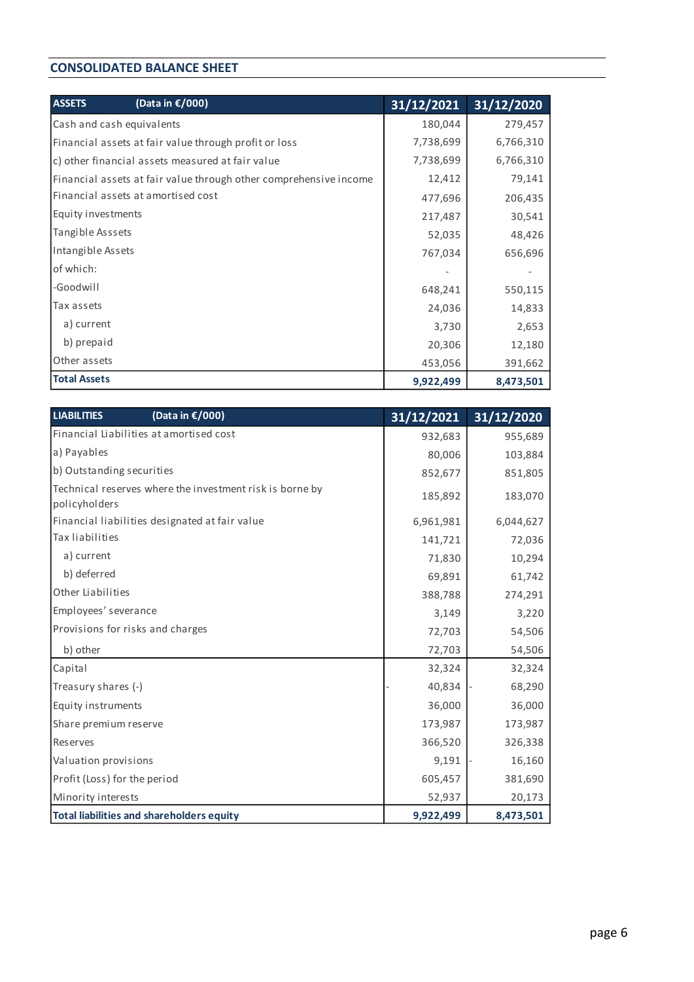#### **CONSOLIDATED BALANCE SHEET**

| <b>ASSETS</b>             | (Data in €/000)                                                   | $\frac{31}{12}/2021$ | 31/12/2020 |
|---------------------------|-------------------------------------------------------------------|----------------------|------------|
| Cash and cash equivalents |                                                                   | 180,044              | 279,457    |
|                           | Financial assets at fair value through profit or loss             | 7,738,699            | 6,766,310  |
|                           | c) other financial assets measured at fair value                  | 7,738,699            | 6,766,310  |
|                           | Financial assets at fair value through other comprehensive income | 12,412               | 79,141     |
|                           | Financial assets at amortised cost                                | 477,696              | 206,435    |
| Equity investments        |                                                                   | 217,487              | 30,541     |
| Tangible Asssets          |                                                                   | 52,035               | 48,426     |
| Intangible Assets         |                                                                   | 767,034              | 656,696    |
| of which:                 |                                                                   |                      |            |
| -Goodwill                 |                                                                   | 648,241              | 550,115    |
| Tax assets                |                                                                   | 24,036               | 14,833     |
| a) current                |                                                                   | 3,730                | 2,653      |
| b) prepaid                |                                                                   | 20,306               | 12,180     |
| Other assets              |                                                                   | 453,056              | 391,662    |
| <b>Total Assets</b>       |                                                                   | 9,922,499            | 8,473,501  |

| <b>LIABILITIES</b><br>(Data in €/000)                                     | 31/12/2021 | 31/12/2020 |
|---------------------------------------------------------------------------|------------|------------|
| Financial Liabilities at amortised cost                                   | 932,683    | 955,689    |
| a) Payables                                                               | 80,006     | 103,884    |
| b) Outstanding securities                                                 | 852,677    | 851,805    |
| Technical reserves where the investment risk is borne by<br>policyholders | 185,892    | 183,070    |
| Financial liabilities designated at fair value                            | 6,961,981  | 6,044,627  |
| Tax liabilities                                                           | 141,721    | 72,036     |
| a) current                                                                | 71,830     | 10,294     |
| b) deferred                                                               | 69,891     | 61,742     |
| Other Liabilities                                                         | 388,788    | 274,291    |
| Employees' severance                                                      | 3,149      | 3,220      |
| Provisions for risks and charges                                          | 72,703     | 54,506     |
| b) other                                                                  | 72,703     | 54,506     |
| Capital                                                                   | 32,324     | 32,324     |
| Treasury shares (-)                                                       | 40,834     | 68,290     |
| Equity instruments                                                        | 36,000     | 36,000     |
| Share premium reserve                                                     | 173,987    | 173,987    |
| Reserves                                                                  | 366,520    | 326,338    |
| Valuation provisions                                                      | 9,191      | 16,160     |
| Profit (Loss) for the period                                              | 605,457    | 381,690    |
| Minority interests                                                        | 52,937     | 20,173     |
| Total liabilities and shareholders equity                                 | 9,922,499  | 8,473,501  |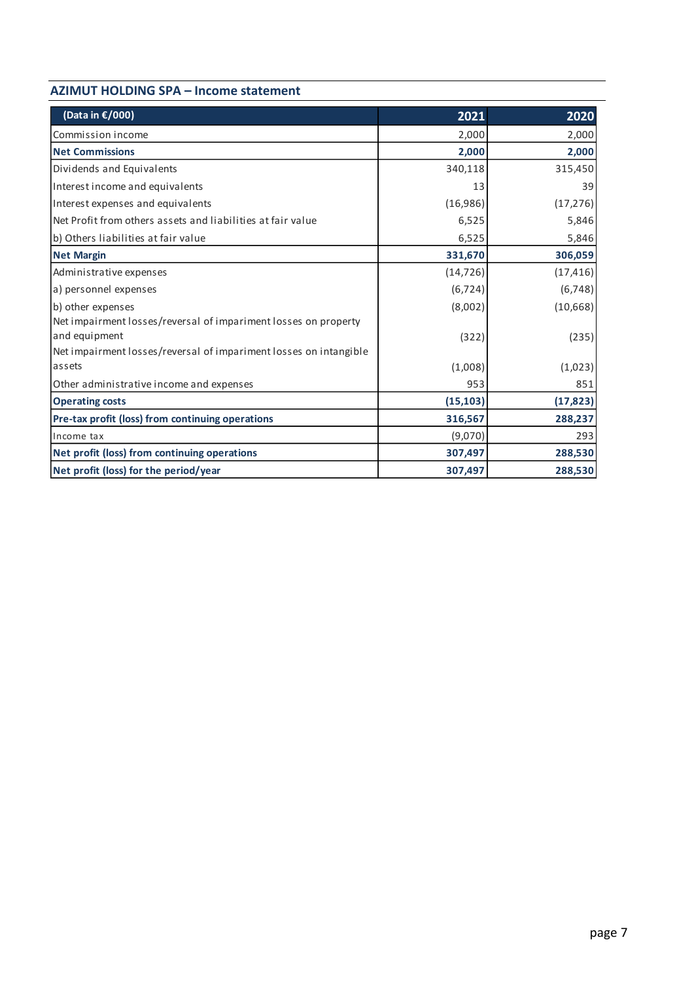| <b>AZIMUT HOLDING SPA - Income statement</b> |  |  |  |
|----------------------------------------------|--|--|--|
|----------------------------------------------|--|--|--|

| (Data in €/000)                                                                                                                                       | 2021      | 2020      |
|-------------------------------------------------------------------------------------------------------------------------------------------------------|-----------|-----------|
| Commission income                                                                                                                                     | 2,000     | 2,000     |
| <b>Net Commissions</b>                                                                                                                                | 2,000     | 2,000     |
| Dividends and Equivalents                                                                                                                             | 340,118   | 315,450   |
| Interest income and equivalents                                                                                                                       | 13        | 39        |
| Interest expenses and equivalents                                                                                                                     | (16,986)  | (17, 276) |
| lNet Profit from others assets and liabilities at fair value                                                                                          | 6,525     | 5,846     |
| b) Others liabilities at fair value                                                                                                                   | 6,525     | 5,846     |
| <b>Net Margin</b>                                                                                                                                     | 331,670   | 306,059   |
| Administrative expenses                                                                                                                               | (14, 726) | (17, 416) |
| a) personnel expenses                                                                                                                                 | (6, 724)  | (6, 748)  |
| b) other expenses                                                                                                                                     | (8,002)   | (10, 668) |
| Net impairment losses/reversal of impariment losses on property<br>and equipment<br>Net impairment losses/reversal of impariment losses on intangible | (322)     | (235)     |
| lassets                                                                                                                                               | (1,008)   | (1,023)   |
| Other administrative income and expenses                                                                                                              | 953       | 851       |
| <b>Operating costs</b>                                                                                                                                | (15, 103) | (17, 823) |
| Pre-tax profit (loss) from continuing operations                                                                                                      | 316,567   | 288,237   |
| Income tax                                                                                                                                            | (9,070)   | 293       |
| Net profit (loss) from continuing operations                                                                                                          | 307,497   | 288,530   |
| Net profit (loss) for the period/year                                                                                                                 | 307,497   | 288,530   |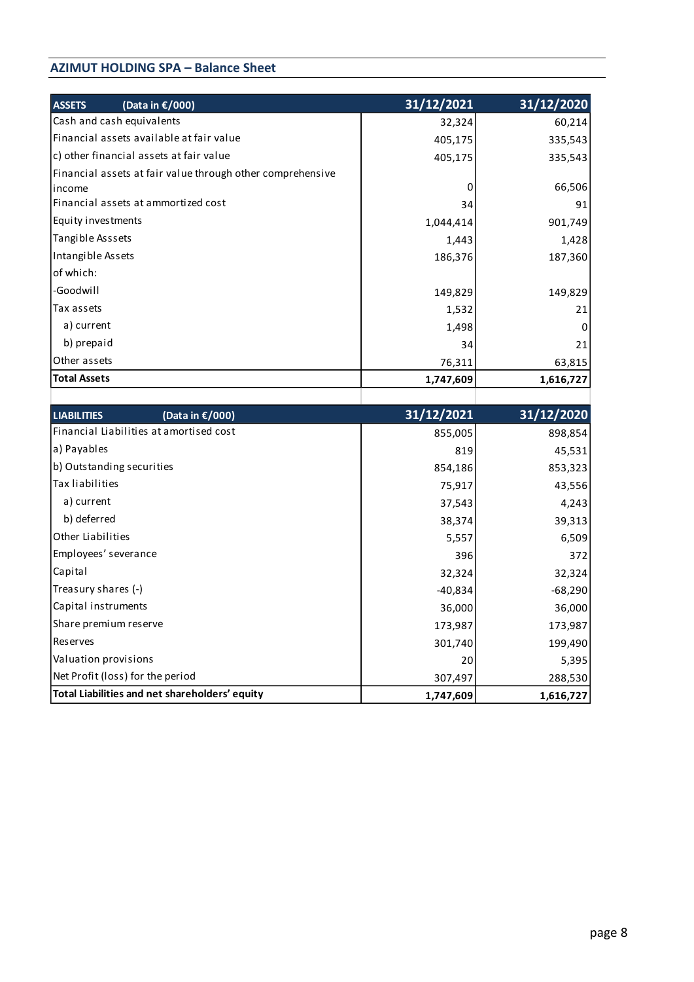### **AZIMUT HOLDING SPA – Balance Sheet**

| <b>ASSETS</b>             | (Data in €/000)                                            | 31/12/2021 | 31/12/2020 |
|---------------------------|------------------------------------------------------------|------------|------------|
| Cash and cash equivalents |                                                            | 32,324     | 60,214     |
|                           | Financial assets available at fair value                   | 405,175    | 335,543    |
|                           | c) other financial assets at fair value                    | 405,175    | 335,543    |
|                           | Financial assets at fair value through other comprehensive |            |            |
| lincome                   |                                                            | 0          | 66,506     |
|                           | Financial assets at ammortized cost                        | 34         | 91         |
| Equity investments        |                                                            | 1,044,414  | 901,749    |
| Tangible Asssets          |                                                            | 1,443      | 1,428      |
| Intangible Assets         |                                                            | 186,376    | 187,360    |
| of which:                 |                                                            |            |            |
| -Goodwill                 |                                                            | 149,829    | 149,829    |
| Tax assets                |                                                            | 1,532      | 21         |
| a) current                |                                                            | 1,498      | 0          |
| b) prepaid                |                                                            | 34         | 21         |
| Other assets              |                                                            | 76,311     | 63,815     |
| <b>Total Assets</b>       |                                                            | 1,747,609  | 1,616,727  |
|                           |                                                            |            |            |

| (Data in €/000)<br><b>LIABILITIES</b>          | 31/12/2021 | 31/12/2020 |
|------------------------------------------------|------------|------------|
| Financial Liabilities at amortised cost        | 855,005    | 898,854    |
| a) Payables                                    | 819        | 45,531     |
| b) Outstanding securities                      | 854,186    | 853,323    |
| Tax liabilities                                | 75,917     | 43,556     |
| a) current                                     | 37,543     | 4,243      |
| b) deferred                                    | 38,374     | 39,313     |
| Other Liabilities                              | 5,557      | 6,509      |
| Employees' severance                           | 396        | 372        |
| Capital                                        | 32,324     | 32,324     |
| Treasury shares (-)                            | -40,834    | $-68,290$  |
| Capital instruments                            | 36,000     | 36,000     |
| Share premium reserve                          | 173,987    | 173,987    |
| Reserves                                       | 301,740    | 199,490    |
| Valuation provisions                           | 20         | 5,395      |
| Net Profit (loss) for the period               | 307,497    | 288,530    |
| Total Liabilities and net shareholders' equity | 1,747,609  | 1,616,727  |